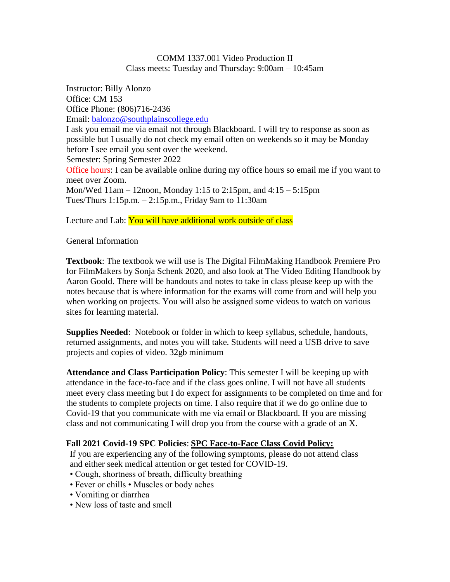## COMM 1337.001 Video Production II Class meets: Tuesday and Thursday: 9:00am – 10:45am

Instructor: Billy Alonzo Office: CM 153 Office Phone: (806)716-2436 Email: [balonzo@southplainscollege.edu](mailto:balonzo@southplainscollege.edu) I ask you email me via email not through Blackboard. I will try to response as soon as possible but I usually do not check my email often on weekends so it may be Monday before I see email you sent over the weekend. Semester: Spring Semester 2022 Office hours: I can be available online during my office hours so email me if you want to meet over Zoom. Mon/Wed 11am – 12noon, Monday 1:15 to 2:15pm, and 4:15 – 5:15pm Tues/Thurs 1:15p.m. – 2:15p.m., Friday 9am to 11:30am

Lecture and Lab: You will have additional work outside of class

# General Information

**Textbook**: The textbook we will use is The Digital FilmMaking Handbook Premiere Pro for FilmMakers by Sonja Schenk 2020, and also look at The Video Editing Handbook by Aaron Goold. There will be handouts and notes to take in class please keep up with the notes because that is where information for the exams will come from and will help you when working on projects. You will also be assigned some videos to watch on various sites for learning material.

**Supplies Needed**: Notebook or folder in which to keep syllabus, schedule, handouts, returned assignments, and notes you will take. Students will need a USB drive to save projects and copies of video. 32gb minimum

**Attendance and Class Participation Policy**: This semester I will be keeping up with attendance in the face-to-face and if the class goes online. I will not have all students meet every class meeting but I do expect for assignments to be completed on time and for the students to complete projects on time. I also require that if we do go online due to Covid-19 that you communicate with me via email or Blackboard. If you are missing class and not communicating I will drop you from the course with a grade of an X.

## **Fall 2021 Covid-19 SPC Policies**: **SPC Face-to-Face Class Covid Policy:**

If you are experiencing any of the following symptoms, please do not attend class and either seek medical attention or get tested for COVID-19.

- Cough, shortness of breath, difficulty breathing
- Fever or chills Muscles or body aches
- Vomiting or diarrhea
- New loss of taste and smell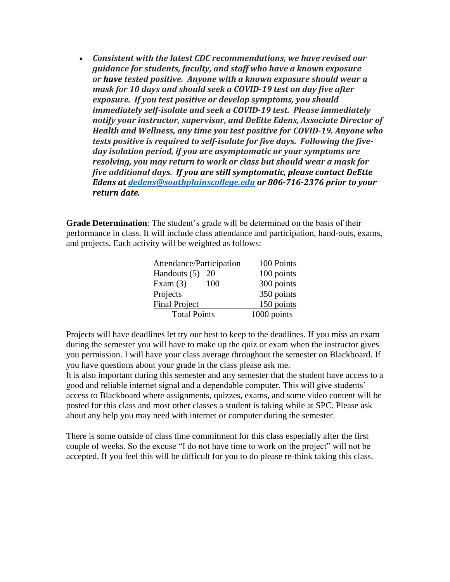• *Consistent with the latest CDC recommendations, we have revised our guidance for students, faculty, and staff who have a known exposure or have tested positive. Anyone with a known exposure should wear a mask for 10 days and should seek a COVID-19 test on day five after exposure. If you test positive or develop symptoms, you should immediately self-isolate and seek a COVID-19 test. Please immediately notify your instructor, supervisor, and DeEtte Edens, Associate Director of Health and Wellness, any time you test positive for COVID-19. Anyone who tests positive is required to self-isolate for five days. Following the fiveday isolation period, if you are asymptomatic or your symptoms are resolving, you may return to work or class but should wear a mask for five additional days. If you are still symptomatic, please contact DeEtte Edens at [dedens@southplainscollege.edu](mailto:dedens@southplainscollege.edu) or 806-716-2376 prior to your return date.*

**Grade Determination**: The student's grade will be determined on the basis of their performance in class. It will include class attendance and participation, hand-outs, exams, and projects. Each activity will be weighted as follows:

| Attendance/Participation | 100 Points  |
|--------------------------|-------------|
| Handouts (5)<br>20       | 100 points  |
| Exam $(3)$<br>100        | 300 points  |
| Projects                 | 350 points  |
| <b>Final Project</b>     | 150 points  |
| <b>Total Points</b>      | 1000 points |

Projects will have deadlines let try our best to keep to the deadlines. If you miss an exam during the semester you will have to make up the quiz or exam when the instructor gives you permission. I will have your class average throughout the semester on Blackboard. If you have questions about your grade in the class please ask me.

It is also important during this semester and any semester that the student have access to a good and reliable internet signal and a dependable computer. This will give students' access to Blackboard where assignments, quizzes, exams, and some video content will be posted for this class and most other classes a student is taking while at SPC. Please ask about any help you may need with internet or computer during the semester.

There is some outside of class time commitment for this class especially after the first couple of weeks. So the excuse "I do not have time to work on the project" will not be accepted. If you feel this will be difficult for you to do please re-think taking this class.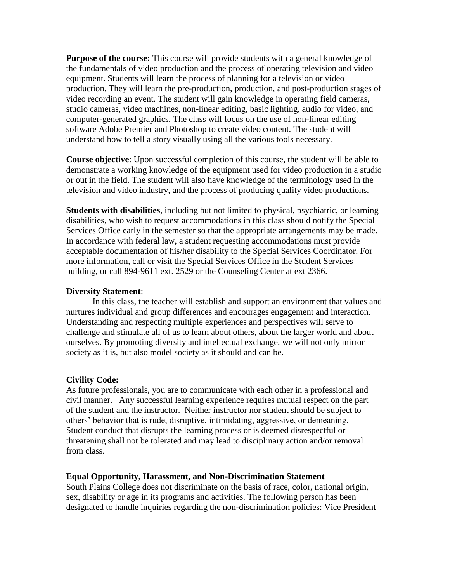**Purpose of the course:** This course will provide students with a general knowledge of the fundamentals of video production and the process of operating television and video equipment. Students will learn the process of planning for a television or video production. They will learn the pre-production, production, and post-production stages of video recording an event. The student will gain knowledge in operating field cameras, studio cameras, video machines, non-linear editing, basic lighting, audio for video, and computer-generated graphics. The class will focus on the use of non-linear editing software Adobe Premier and Photoshop to create video content. The student will understand how to tell a story visually using all the various tools necessary.

**Course objective**: Upon successful completion of this course, the student will be able to demonstrate a working knowledge of the equipment used for video production in a studio or out in the field. The student will also have knowledge of the terminology used in the television and video industry, and the process of producing quality video productions.

**Students with disabilities**, including but not limited to physical, psychiatric, or learning disabilities, who wish to request accommodations in this class should notify the Special Services Office early in the semester so that the appropriate arrangements may be made. In accordance with federal law, a student requesting accommodations must provide acceptable documentation of his/her disability to the Special Services Coordinator. For more information, call or visit the Special Services Office in the Student Services building, or call 894-9611 ext. 2529 or the Counseling Center at ext 2366.

#### **Diversity Statement**:

In this class, the teacher will establish and support an environment that values and nurtures individual and group differences and encourages engagement and interaction. Understanding and respecting multiple experiences and perspectives will serve to challenge and stimulate all of us to learn about others, about the larger world and about ourselves. By promoting diversity and intellectual exchange, we will not only mirror society as it is, but also model society as it should and can be.

## **Civility Code:**

As future professionals, you are to communicate with each other in a professional and civil manner. Any successful learning experience requires mutual respect on the part of the student and the instructor. Neither instructor nor student should be subject to others' behavior that is rude, disruptive, intimidating, aggressive, or demeaning. Student conduct that disrupts the learning process or is deemed disrespectful or threatening shall not be tolerated and may lead to disciplinary action and/or removal from class.

#### **Equal Opportunity, Harassment, and Non-Discrimination Statement**

South Plains College does not discriminate on the basis of race, color, national origin, sex, disability or age in its programs and activities. The following person has been designated to handle inquiries regarding the non-discrimination policies: Vice President